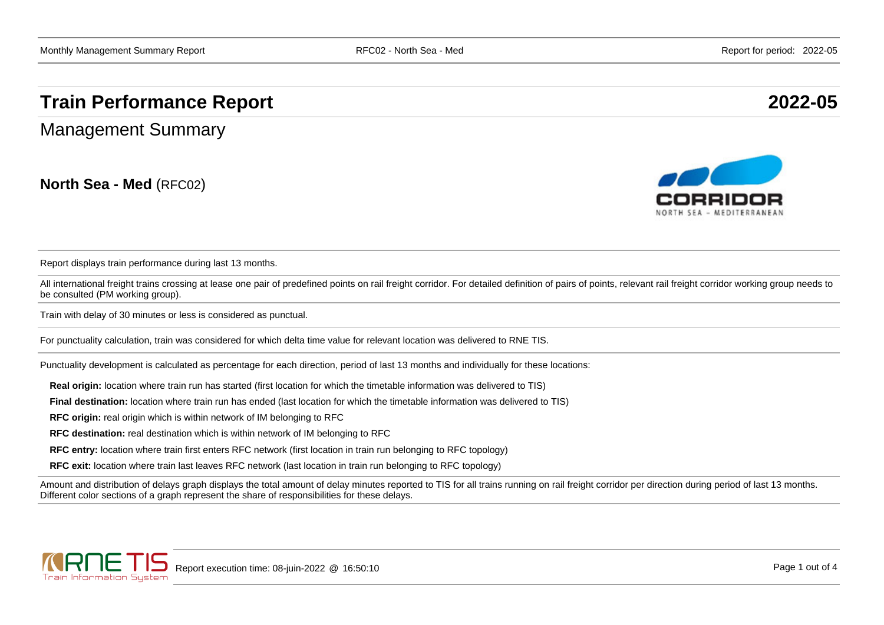## **Train Performance Report 2022-05**

Management Summary

**North Sea - Med** (RFC02)



Report displays train performance during last 13 months.

All international freight trains crossing at lease one pair of predefined points on rail freight corridor. For detailed definition of pairs of points, relevant rail freight corridor working group needs to be consulted (PM working group).

Train with delay of 30 minutes or less is considered as punctual.

For punctuality calculation, train was considered for which delta time value for relevant location was delivered to RNE TIS.

Punctuality development is calculated as percentage for each direction, period of last 13 months and individually for these locations:

**Real origin:** location where train run has started (first location for which the timetable information was delivered to TIS)

**Final destination:** location where train run has ended (last location for which the timetable information was delivered to TIS)

**RFC origin:** real origin which is within network of IM belonging to RFC

**RFC destination:** real destination which is within network of IM belonging to RFC

**RFC entry:** location where train first enters RFC network (first location in train run belonging to RFC topology)

**RFC exit:** location where train last leaves RFC network (last location in train run belonging to RFC topology)

Amount and distribution of delays graph displays the total amount of delay minutes reported to TIS for all trains running on rail freight corridor per direction during period of last 13 months. Different color sections of a graph represent the share of responsibilities for these delays.

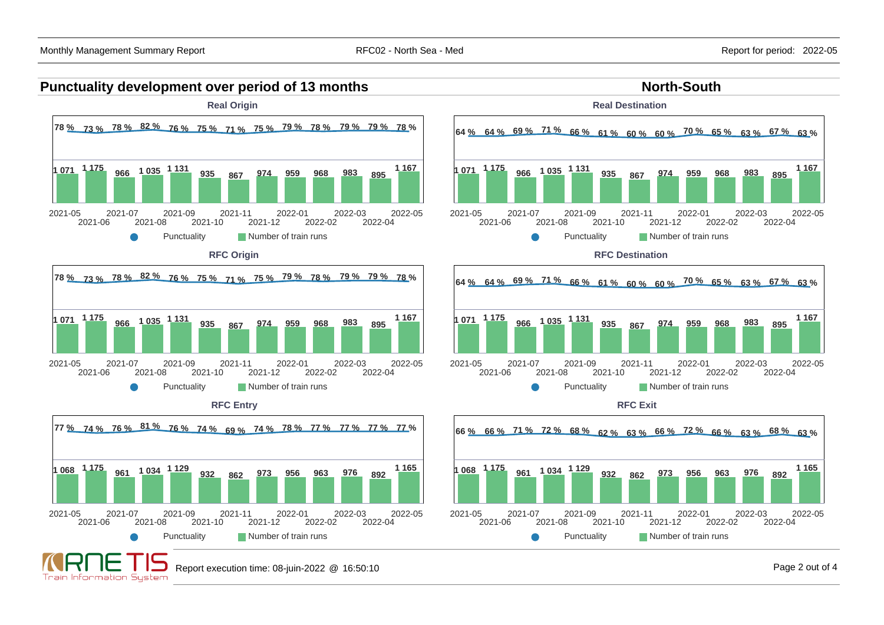



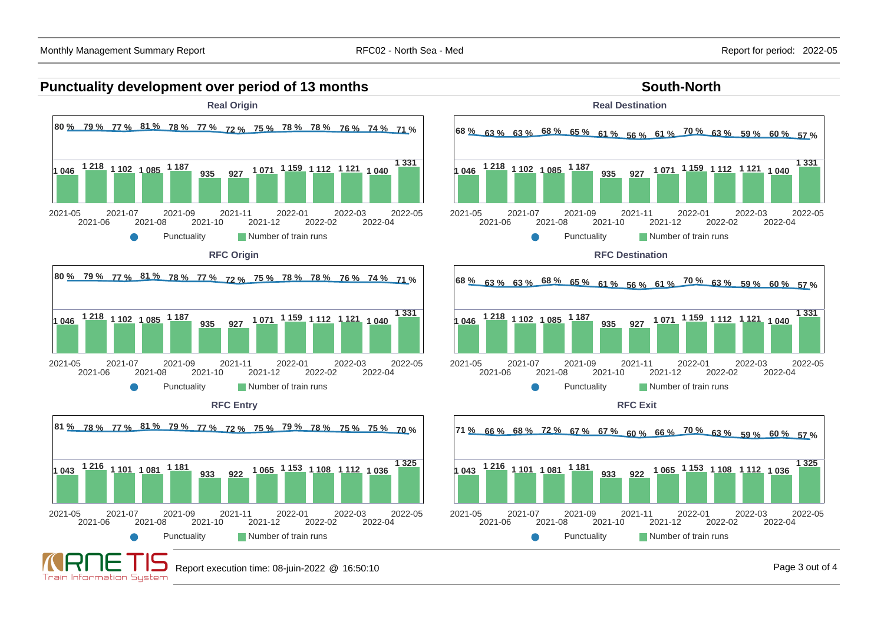**Train Information System** 

2022-05

2022-05

2022-05

**1 325**

**1 331**

**1 331**

## **Punctuality development over period of 13 months South-North South-North**



Report execution time: 08-juin-2022 @ 16:50:10 Page 3 out of 4